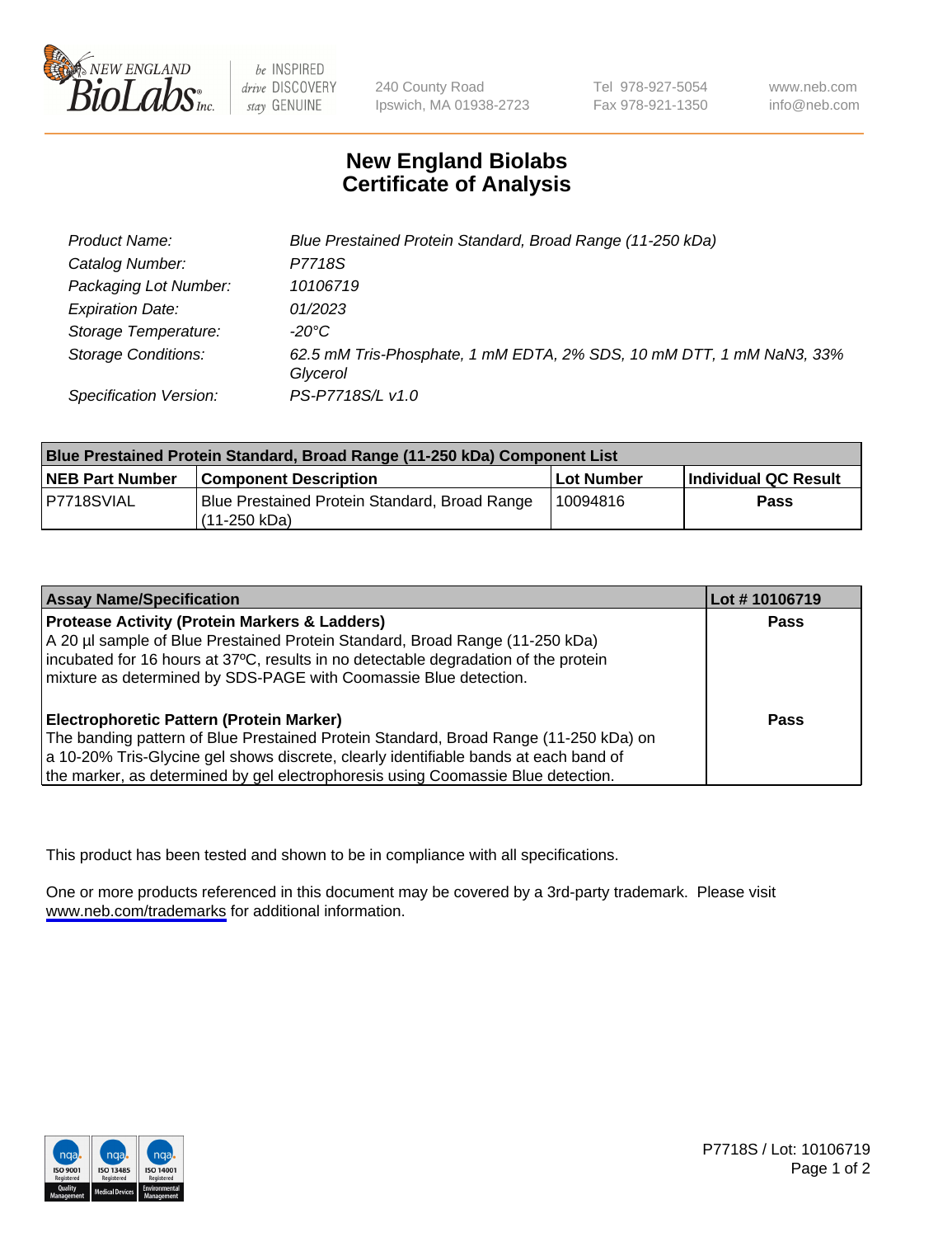

be INSPIRED drive DISCOVERY stay GENUINE

240 County Road Ipswich, MA 01938-2723 Tel 978-927-5054 Fax 978-921-1350

www.neb.com info@neb.com

## **New England Biolabs Certificate of Analysis**

| Product Name:              | Blue Prestained Protein Standard, Broad Range (11-250 kDa)                       |
|----------------------------|----------------------------------------------------------------------------------|
| Catalog Number:            | P7718S                                                                           |
| Packaging Lot Number:      | 10106719                                                                         |
| <b>Expiration Date:</b>    | 01/2023                                                                          |
| Storage Temperature:       | -20°C                                                                            |
| <b>Storage Conditions:</b> | 62.5 mM Tris-Phosphate, 1 mM EDTA, 2% SDS, 10 mM DTT, 1 mM NaN3, 33%<br>Glycerol |
| Specification Version:     | PS-P7718S/L v1.0                                                                 |

| <b>Blue Prestained Protein Standard, Broad Range (11-250 kDa) Component List</b> |                                                                 |              |                      |  |
|----------------------------------------------------------------------------------|-----------------------------------------------------------------|--------------|----------------------|--|
| <b>NEB Part Number</b>                                                           | <b>Component Description</b>                                    | l Lot Number | Individual QC Result |  |
| P7718SVIAL                                                                       | Blue Prestained Protein Standard, Broad Range<br>l (11-250 kDa) | 10094816     | <b>Pass</b>          |  |

| <b>Assay Name/Specification</b>                                                      | Lot #10106719 |
|--------------------------------------------------------------------------------------|---------------|
| <b>Protease Activity (Protein Markers &amp; Ladders)</b>                             | <b>Pass</b>   |
| A 20 µl sample of Blue Prestained Protein Standard, Broad Range (11-250 kDa)         |               |
| incubated for 16 hours at 37°C, results in no detectable degradation of the protein  |               |
| mixture as determined by SDS-PAGE with Coomassie Blue detection.                     |               |
|                                                                                      |               |
| <b>Electrophoretic Pattern (Protein Marker)</b>                                      | <b>Pass</b>   |
| The banding pattern of Blue Prestained Protein Standard, Broad Range (11-250 kDa) on |               |
| a 10-20% Tris-Glycine gel shows discrete, clearly identifiable bands at each band of |               |
| the marker, as determined by gel electrophoresis using Coomassie Blue detection.     |               |

This product has been tested and shown to be in compliance with all specifications.

One or more products referenced in this document may be covered by a 3rd-party trademark. Please visit <www.neb.com/trademarks>for additional information.